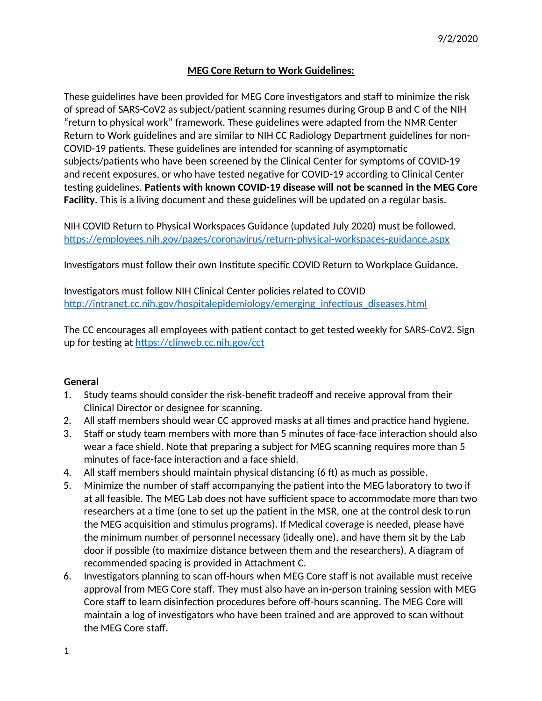### **MEG Core Return to Work Guidelines:**

These guidelines have been provided for MEG Core investigators and staff to minimize the risk of spread of SARS-CoV2 as subject/patient scanning resumes during Group B and C of the NIH "return to physical work" framework. These guidelines were adapted from the NMR Center Return to Work guidelines and are similar to NIH CC Radiology Department guidelines for non-COVID-19 patients. These guidelines are intended for scanning of asymptomatic subjects/patients who have been screened by the Clinical Center for symptoms of COVID-19 and recent exposures, or who have tested negative for COVID-19 according to Clinical Center testing guidelines. **Patients with known COVID-19 disease will not be scanned in the MEG Core Facility.** This is a living document and these guidelines will be updated on a regular basis.

NIH COVID Return to Physical Workspaces Guidance (updated July 2020) must be followed. https://employees.nih.gov/pages/coronavirus/return-physical-workspaces-guidance.aspx

Investigators must follow their own Institute specific COVID Return to Workplace Guidance.

Investigators must follow NIH Clinical Center policies related to COVID http://intranet.cc.nih.gov/hospitalepidemiology/emerging\_infectious\_diseases.html

The CC encourages all employees with patient contact to get tested weekly for SARS-CoV2. Sign up for testing at https://clinweb.cc.nih.gov/cct

### **General**

- 1. Study teams should consider the risk-benefit tradeoff and receive approval from their Clinical Director or designee for scanning.
- 2. All staff members should wear CC approved masks at all times and practice hand hygiene.
- 3. Staff or study team members with more than 5 minutes of face-face interaction should also wear a face shield. Note that preparing a subject for MEG scanning requires more than 5 minutes of face-face interaction and a face shield.
- 4. All staff members should maintain physical distancing (6 ft) as much as possible.
- 5. Minimize the number of staff accompanying the patient into the MEG laboratory to two if at all feasible. The MEG Lab does not have sufficient space to accommodate more than two researchers at a time (one to set up the patient in the MSR, one at the control desk to run the MEG acquisition and stimulus programs). If Medical coverage is needed, please have the minimum number of personnel necessary (ideally one), and have them sit by the Lab door if possible (to maximize distance between them and the researchers). A diagram of recommended spacing is provided in Attachment C.
- 6. Investigators planning to scan off-hours when MEG Core staff is not available must receive approval from MEG Core staff. They must also have an in-person training session with MEG Core staff to learn disinfection procedures before off-hours scanning. The MEG Core will maintain a log of investigators who have been trained and are approved to scan without the MEG Core staff.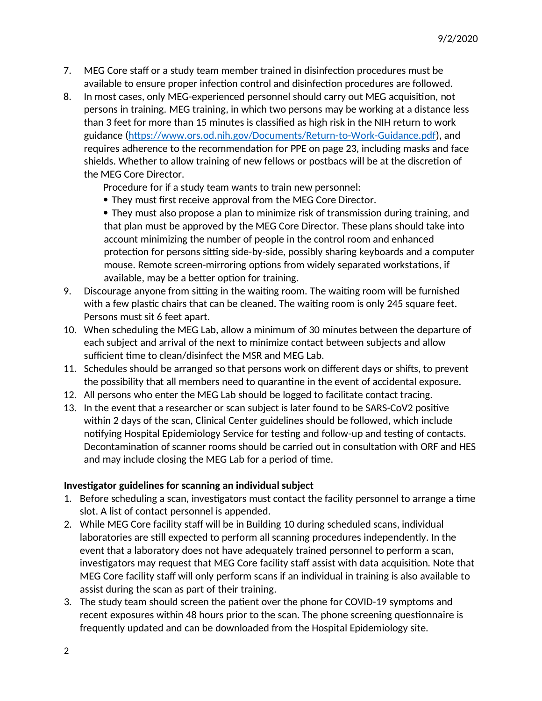- 7. MEG Core staff or a study team member trained in disinfection procedures must be available to ensure proper infection control and disinfection procedures are followed.
- 8. In most cases, only MEG-experienced personnel should carry out MEG acquisition, not persons in training. MEG training, in which two persons may be working at a distance less than 3 feet for more than 15 minutes is classified as high risk in the NIH return to work guidance (https://www.ors.od.nih.gov/Documents/Return-to-Work-Guidance.pdf), and requires adherence to the recommendation for PPE on page 23, including masks and face shields. Whether to allow training of new fellows or postbacs will be at the discretion of the MEG Core Director.

Procedure for if a study team wants to train new personnel:

They must first receive approval from the MEG Core Director.

 They must also propose a plan to minimize risk of transmission during training, and that plan must be approved by the MEG Core Director. These plans should take into account minimizing the number of people in the control room and enhanced protection for persons sitting side-by-side, possibly sharing keyboards and a computer mouse. Remote screen-mirroring options from widely separated workstations, if available, may be a better option for training.

- 9. Discourage anyone from sitting in the waiting room. The waiting room will be furnished with a few plastic chairs that can be cleaned. The waiting room is only 245 square feet. Persons must sit 6 feet apart.
- 10. When scheduling the MEG Lab, allow a minimum of 30 minutes between the departure of each subject and arrival of the next to minimize contact between subjects and allow sufficient time to clean/disinfect the MSR and MEG Lab.
- 11. Schedules should be arranged so that persons work on different days or shifts, to prevent the possibility that all members need to quarantine in the event of accidental exposure.
- 12. All persons who enter the MEG Lab should be logged to facilitate contact tracing.
- 13. In the event that a researcher or scan subject is later found to be SARS-CoV2 positive within 2 days of the scan, Clinical Center guidelines should be followed, which include notifying Hospital Epidemiology Service for testing and follow-up and testing of contacts. Decontamination of scanner rooms should be carried out in consultation with ORF and HES and may include closing the MEG Lab for a period of time.

#### **Investigator guidelines for scanning an individual subject**

- 1. Before scheduling a scan, investigators must contact the facility personnel to arrange a time slot. A list of contact personnel is appended.
- 2. While MEG Core facility staff will be in Building 10 during scheduled scans, individual laboratories are still expected to perform all scanning procedures independently. In the event that a laboratory does not have adequately trained personnel to perform a scan, investigators may request that MEG Core facility staff assist with data acquisition. Note that MEG Core facility staff will only perform scans if an individual in training is also available to assist during the scan as part of their training.
- 3. The study team should screen the patient over the phone for COVID-19 symptoms and recent exposures within 48 hours prior to the scan. The phone screening questionnaire is frequently updated and can be downloaded from the Hospital Epidemiology site.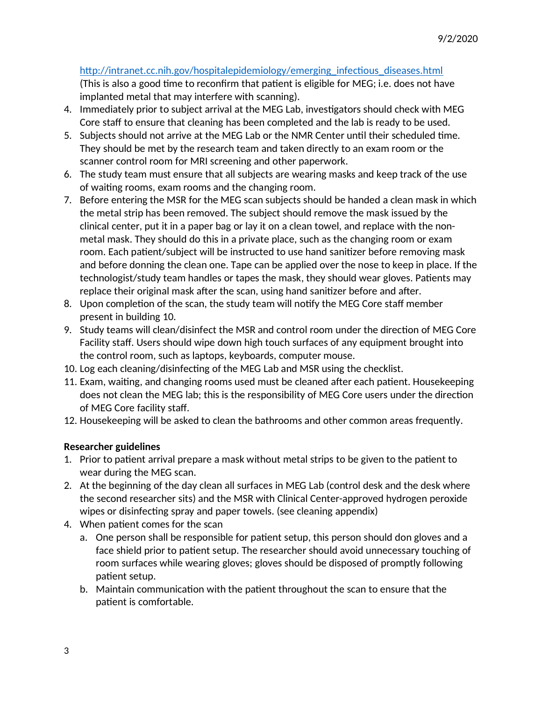## http://intranet.cc.nih.gov/hospitalepidemiology/emerging\_infectious\_diseases.html

(This is also a good time to reconfirm that patient is eligible for MEG; i.e. does not have implanted metal that may interfere with scanning).

- 4. Immediately prior to subject arrival at the MEG Lab, investigators should check with MEG Core staff to ensure that cleaning has been completed and the lab is ready to be used.
- 5. Subjects should not arrive at the MEG Lab or the NMR Center until their scheduled time. They should be met by the research team and taken directly to an exam room or the scanner control room for MRI screening and other paperwork.
- 6. The study team must ensure that all subjects are wearing masks and keep track of the use of waiting rooms, exam rooms and the changing room.
- 7. Before entering the MSR for the MEG scan subjects should be handed a clean mask in which the metal strip has been removed. The subject should remove the mask issued by the clinical center, put it in a paper bag or lay it on a clean towel, and replace with the nonmetal mask. They should do this in a private place, such as the changing room or exam room. Each patient/subject will be instructed to use hand sanitizer before removing mask and before donning the clean one. Tape can be applied over the nose to keep in place. If the technologist/study team handles or tapes the mask, they should wear gloves. Patients may replace their original mask after the scan, using hand sanitizer before and after.
- 8. Upon completion of the scan, the study team will notify the MEG Core staff member present in building 10.
- 9. Study teams will clean/disinfect the MSR and control room under the direction of MEG Core Facility staff. Users should wipe down high touch surfaces of any equipment brought into the control room, such as laptops, keyboards, computer mouse.
- 10. Log each cleaning/disinfecting of the MEG Lab and MSR using the checklist.
- 11. Exam, waiting, and changing rooms used must be cleaned after each patient. Housekeeping does not clean the MEG lab; this is the responsibility of MEG Core users under the direction of MEG Core facility staff.
- 12. Housekeeping will be asked to clean the bathrooms and other common areas frequently.

### **Researcher guidelines**

- 1. Prior to patient arrival prepare a mask without metal strips to be given to the patient to wear during the MEG scan.
- 2. At the beginning of the day clean all surfaces in MEG Lab (control desk and the desk where the second researcher sits) and the MSR with Clinical Center-approved hydrogen peroxide wipes or disinfecting spray and paper towels. (see cleaning appendix)
- 4. When patient comes for the scan
	- a. One person shall be responsible for patient setup, this person should don gloves and a face shield prior to patient setup. The researcher should avoid unnecessary touching of room surfaces while wearing gloves; gloves should be disposed of promptly following patient setup.
	- b. Maintain communication with the patient throughout the scan to ensure that the patient is comfortable.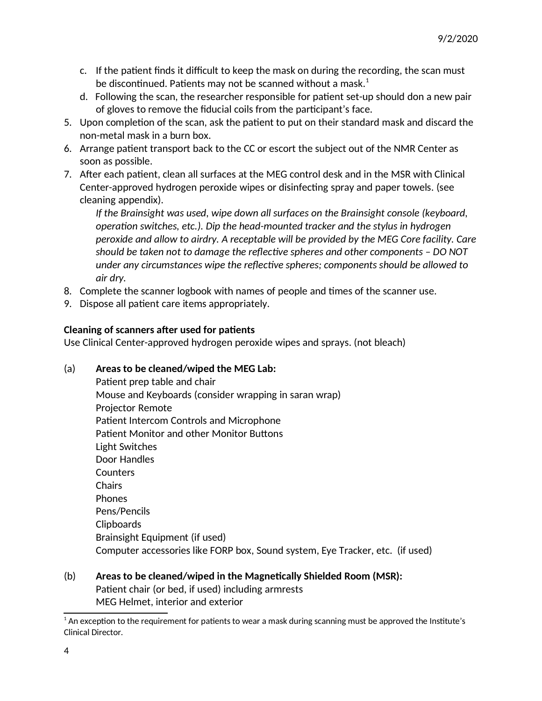- c. If the patient finds it difficult to keep the mask on during the recording, the scan must be discontinued. Patients may not be scanned without a mask. $1$
- d. Following the scan, the researcher responsible for patient set-up should don a new pair of gloves to remove the fiducial coils from the participant's face.
- 5. Upon completion of the scan, ask the patient to put on their standard mask and discard the non-metal mask in a burn box.
- 6. Arrange patient transport back to the CC or escort the subject out of the NMR Center as soon as possible.
- 7. After each patient, clean all surfaces at the MEG control desk and in the MSR with Clinical Center-approved hydrogen peroxide wipes or disinfecting spray and paper towels. (see cleaning appendix).

*If the Brainsight was used, wipe down all surfaces on the Brainsight console (keyboard, operation switches, etc.). Dip the head-mounted tracker and the stylus in hydrogen peroxide and allow to airdry. A receptable will be provided by the MEG Core facility. Care should be taken not to damage the reflective spheres and other components – DO NOT under any circumstances wipe the reflective spheres; components should be allowed to air dry.*

- 8. Complete the scanner logbook with names of people and times of the scanner use.
- 9. Dispose all patient care items appropriately.

### **Cleaning of scanners after used for patients**

Use Clinical Center-approved hydrogen peroxide wipes and sprays. (not bleach)

### (a) **Areas to be cleaned/wiped the MEG Lab:**

Patient prep table and chair Mouse and Keyboards (consider wrapping in saran wrap) Projector Remote Patient Intercom Controls and Microphone Patient Monitor and other Monitor Buttons Light Switches Door Handles Counters **Chairs** Phones Pens/Pencils Clipboards Brainsight Equipment (if used) Computer accessories like FORP box, Sound system, Eye Tracker, etc. (if used)

### (b) **Areas to be cleaned/wiped in the Magnetically Shielded Room (MSR):** Patient chair (or bed, if used) including armrests MEG Helmet, interior and exterior

 $^{\rm 1}$  An exception to the requirement for patients to wear a mask during scanning must be approved the Institute's Clinical Director.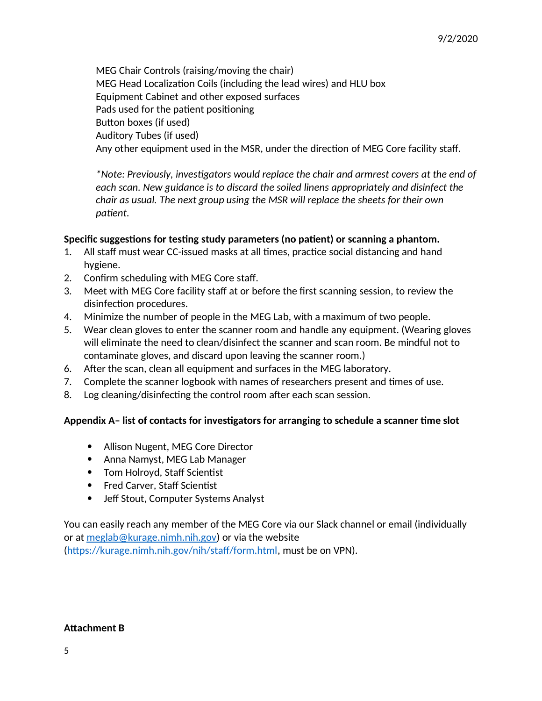MEG Chair Controls (raising/moving the chair) MEG Head Localization Coils (including the lead wires) and HLU box Equipment Cabinet and other exposed surfaces Pads used for the patient positioning Button boxes (if used) Auditory Tubes (if used) Any other equipment used in the MSR, under the direction of MEG Core facility staff.

*\*Note: Previously, investigators would replace the chair and armrest covers at the end of each scan. New guidance is to discard the soiled linens appropriately and disinfect the chair as usual. The next group using the MSR will replace the sheets for their own patient.*

### **Specific suggestions for testing study parameters (no patient) or scanning a phantom.**

- 1. All staff must wear CC-issued masks at all times, practice social distancing and hand hygiene.
- 2. Confirm scheduling with MEG Core staff.
- 3. Meet with MEG Core facility staff at or before the first scanning session, to review the disinfection procedures.
- 4. Minimize the number of people in the MEG Lab, with a maximum of two people.
- 5. Wear clean gloves to enter the scanner room and handle any equipment. (Wearing gloves will eliminate the need to clean/disinfect the scanner and scan room. Be mindful not to contaminate gloves, and discard upon leaving the scanner room.)
- 6. After the scan, clean all equipment and surfaces in the MEG laboratory.
- 7. Complete the scanner logbook with names of researchers present and times of use.
- 8. Log cleaning/disinfecting the control room after each scan session.

### **Appendix A– list of contacts for investigators for arranging to schedule a scanner time slot**

- Allison Nugent, MEG Core Director
- Anna Namyst, MEG Lab Manager
- Tom Holroyd, Staff Scientist
- Fred Carver, Staff Scientist
- Jeff Stout, Computer Systems Analyst

You can easily reach any member of the MEG Core via our Slack channel or email (individually or at meglab@kurage.nimh.nih.gov) or via the website

(https://kurage.nimh.nih.gov/nih/staff/form.html, must be on VPN).

### **Attachment B**